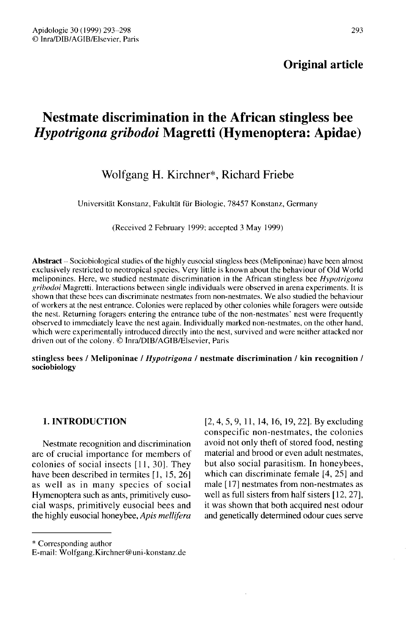# Original article

# Nestmate discrimination in the African stingless bee Hypotrigona gribodoi Magretti (Hymenoptera: Apidae)

# Wolfgang H. Kirchner\*, Richard Friebe

Universität Konstanz, Fakultät für Biologie, 78457 Konstanz, Germany

(Received 2 February 1999; accepted 3 May 1999)

Abstract - Sociobiological studies of the highly eusocial stingless bees (Meliponinae) have been almost exclusively restricted to neotropical species. Very little is known about the behaviour of Old World meliponines. Here, we studied nestmate discrimination in the African stingless bee Hypotrigona gribodoi Magretti. Interactions between single individuals were observed in arena experiments. It is shown that these bees can discriminate nestmates from non-nestmates. We also studied the behaviour of workers at the nest entrance. Colonies were replaced by other colonies while foragers were outside the nest. Returning foragers entering the entrance tube of the non-nestmates' nest were frequently observed to immediately leave the nest again. Individually marked non-nestmates, on the other hand, which were experimentally introduced directly into the nest, survived and were neither attacked nor driven out of the colony. © Inra/DIB/AGIB/Elsevier, Paris

stingless bees / Meliponinae / Hypotrigona / nestmate discrimination / kin recognition / sociobiology

#### 1. INTRODUCTION

Nestmate recognition and discrimination are of crucial importance for members of colonies of social insects [11, 30]. They have been described in termites [1, 15, 26] as well as in many species of social Hymenoptera such as ants, primitively eusocial wasps, primitively eusocial bees and the highly eusocial honeybee, Apis mellifera [2,4,5,9,11, 14, 16, 19, 22]. By excluding conspecific non-nestmates, the colonies avoid not only theft of stored food, nesting material and brood or even adult nestmates, but also social parasitism. In honeybees, which can discriminate female [4, 25] and male [ 17] nestmates from non-nestmates as well as full sisters from half sisters [12, 27], it was shown that both acquired nest odour and genetically determined odour cues serve

\* Corresponding author

E-mail: Wolfgang.Kirchner@uni-konstanz.de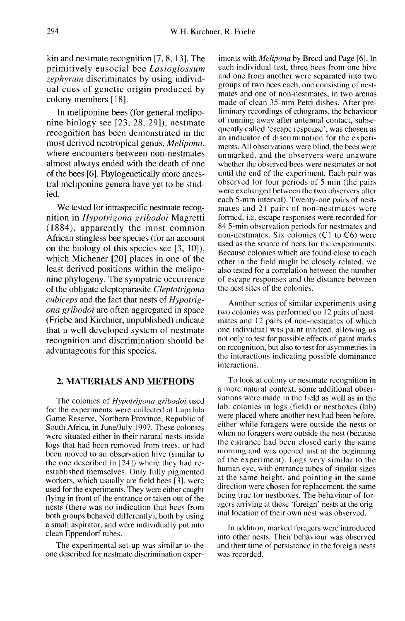kin and nestmate recognition [7, 8, 13]. The primitively eusocial bee Lasioglossum zephyrum discriminates by using individual cues of genetic origin produced by colony members [18].

In meliponine bees (for general meliponine biology see [23, 28, 29]), nestmate recognition has been demonstrated in the most derived neotropical genus, Melipona, where encounters between non-nestmates almost always ended with the death of one of the bees [6]. Phylogenetically more ancestral meliponine genera have yet to be studied.

We tested for intraspecific nestmate recognition in Hypotrigona gribodoi Magretti (1884), apparently the most common African stingless bee species (for an account on the biology of this species see [3, 10]), which Michener [20] places in one of the least derived positions within the meliponine phylogeny. The sympatric occurrence of the obligate cleptoparasite Cleptotrigona cubiceps and the fact that nests of Hypotrig ona gribodoi are often aggregated in space (Friebe and Kirchner, unpublished) indicate that a well developed system of nestmate recognition and discrimination should be advantageous for this species.

#### 2. MATERIALS AND METHODS

The colonies of Hypotrigona gribodoi used for the experiments were collected at Lapalala Game Reserve, Northern Province, Republic of South Africa, in June/July 1997. These colonies were situated either in their natural nests inside logs that had been removed from trees, or had been moved to an observation hive (similar to the one described in [24]) where they had reestablished themselves. Only fully pigmented workers, which usually are field bees [3], were used for the experiments. They were either caught flying in front of the entrance or taken out of the nests (there was no indication that bees from<br>both groups behaved differently), both by using a small aspirator, and were individually put into clean Eppendorf tubes.

The experimental set-up was similar to the one described for nestmate discrimination experiments with Melipona by Breed and Page [6]. In each individual test, three bees from one hive and one from another were separated into two groups of two bees each, one consisting of nestmates and one of non-nestmates, in two arenas made of clean 35-mm Petri dishes. After preliminary recordings of ethograms, the behaviour of running away after antennal contact, subsequently called 'escape response', was chosen as an indicator of discrimination for the experi ments. All observations were blind, the bees were unmarked, and the observers were unaware whether the observed bees were nestmates or not until the end of the experiment. Each pair was observed for four periods of 5 min (the pairs were exchanged between the two observers after each 5-min interval). Twenty-one pairs of nestmates and 21 pairs of non-nestmates were formed, i.e. escape responses were recorded for 84 5-min observation periods for nestmates and non-nestmates. Six colonies (C1 to C6) were used as the source of bees for the experiments. Because colonies which are found close to each other in the field might be closely related, we also tested for a correlation between the number of escape responses and the distance between the nest sites of the colonies.

Another series of similar experiments using two colonies was performed on 12 pairs of nestmates and 12 pairs of non-nestmates of which one individual was paint marked, allowing us not only to test for possible effects of paint marks on recognition, but also to test for asymmetries in the interactions indicating possible dominance interactions.

To look at colony or nestmate recognition in a more natural context, some additional observations were made in the field as well as in the lab: colonies in logs (field) or nestboxes (lab) were placed where another nest had been before, either while foragers were outside the nests or when no foragers were outside the nest (because the entrance had been closed early the same morning and was opened just at the beginning of the experiment). Logs very similar to the human eye, with entrance tubes of similar sizes at the same height, and pointing in the same direction were chosen for replacement, the same being true for nestboxes. The behaviour of foragers arriving at these 'foreign' nests at the original location of their own nest was observed.

In addition, marked foragers were introduced into other nests. Their behaviour was observed and their time of persistence in the foreign nests was recorded.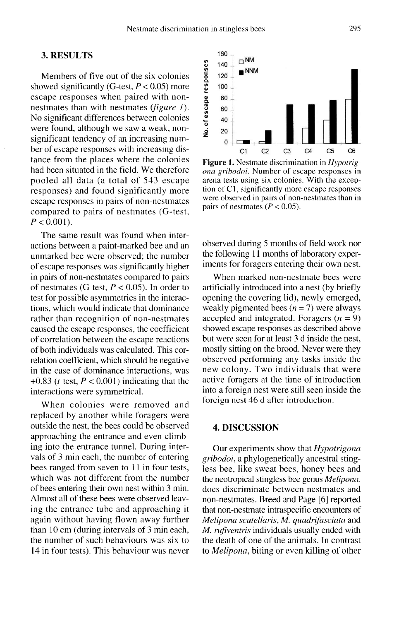### 3. RESULTS

Members of five out of the six colonies showed significantly (G-test,  $P < 0.05$ ) more escape responses when paired with nonnestmates than with nestmates *(figure 1)*. No significant differences between colonies were found, although we saw a weak, nonsignificant tendency of an increasing number of escape responses with increasing distance from the places where the colonies had been situated in the field. We therefore pooled all data (a total of 543 escape responses) and found significantly more escape responses in pairs of non-nestmates compared to pairs of nestmates (G-test,  $P < 0.001$ ).

The same result was found when interactions between a paint-marked bee and an unmarked bee were observed; the number of escape responses was significantly higher in pairs of non-nestmates compared to pairs of nestmates (G-test,  $P < 0.05$ ). In order to test for possible asymmetries in the interactions, which would indicate that dominance rather than recognition of non-nestmates caused the escape responses, the coefficient of correlation between the escape reactions of both individuals was calculated. This correlation coefficient, which should be negative in the case of dominance interactions, was +0.83 (*t*-test,  $P < 0.001$ ) indicating that the interactions were symmetrical.

When colonies were removed and replaced by another while foragers were outside the nest, the bees could be observed approaching the entrance and even climbing into the entrance tunnel. During intervals of 3 min each, the number of entering bees ranged from seven to 11 in four tests, which was not different from the number of bees entering their own nest within 3 min. Almost all of these bees were observed leaving the entrance tube and approaching it again without having flown away further than 10 cm (during intervals of 3 min each, the number of such behaviours was six to 14 in four tests). This behaviour was never



**Figure 1.** Nestmate discrimination in *Hypotrig*ona gribodoi. Number of escape responses in arena tests using six colonies. With the exception of C1, significantly more escape responses were observed in pairs of non-nestmates than in pairs of nestmates ( $P < 0.05$ ).

observed during 5 months of field work nor the following 11 months of laboratory experiments for foragers entering their own nest.

When marked non-nestmate bees were artificially introduced into a nest (by briefly opening the covering lid), newly emerged, weakly pigmented bees  $(n = 7)$  were always accepted and integrated. Foragers  $(n = 9)$ showed escape responses as described above but were seen for at least 3 d inside the nest, mostly sitting on the brood. Never were they observed performing any tasks inside the new colony. Two individuals that were active foragers at the time of introduction into a foreign nest were still seen inside the foreign nest 46 d after introduction.

#### 4. DISCUSSION

Our experiments show that Hypotrigona gribodoi, a phylogenetically ancestral stingless bee, like sweat bees, honey bees and the neotropical stingless bee genus Melipona, does discriminate between nestmates and non-nestmates. Breed and Page [6] reported that non-nestmate intraspecific encounters of Melipona scutellaris, M. quadrifasciata and M. *rufiventris* individuals usually ended with the death of one of the animals. In contrast to Melipona, biting or even killing of other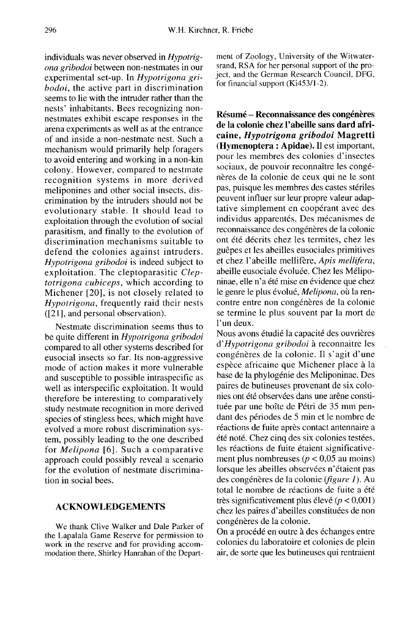individuals was never observed in Hypotrigona gribodoi between non-nestmates in our experimental set-up. In Hypotrigona gribodoi, the active part in discrimination seems to lie with the intruder rather than the nests' inhabitants. Bees recognizing nonnestmates exhibit escape responses in the arena experiments as well as at the entrance of and inside a non-nestmate nest. Such a mechanism would primarily help foragers to avoid entering and working in a non-kin colony. However, compared to nestmate recognition systems in more derived meliponines and other social insects, discrimination by the intruders should not be evolutionary stable. It should lead to exploitation through the evolution of social parasitism, and finally to the evolution of discrimination mechanisms suitable to defend the colonies against intruders. Hypotrigona gribodoi is indeed subject to exploitation. The cleptoparasitic Cleptotrigona cubiceps, which according to Michener [20], is not closely related to Hypotrigona, frequently raid their nests ([21], and personal observation).

Nestmate discrimination seems thus to be quite different in Hypotrigona gribodoi compared to all other systems described for eusocial insects so far. Its non-aggressive mode of action makes it more vulnerable and susceptible to possible intraspecific as well as interspecific exploitation. It would therefore be interesting to comparatively study nestmate recognition in more derived species of stingless bees, which might have evolved a more robust discrimination system, possibly leading to the one described for Melipona [6]. Such a comparative approach could possibly reveal a scenario for the evolution of nestmate discrimination in social bees.

#### ACKNOWLEDGEMENTS

We thank Clive Walker and Dale Parker of the Lapalala Game Reserve for permission to work in the reserve and for providing accommodation there, Shirley Hanrahan of the Department of Zoology, University of the Witwatersrand, RSA for her personal support of the project, and the German Research Council, DFG, for financial support (Ki453/1-2).

Résumé - Reconnaissance des congénères de la colonie chez l'abeille sans dard africaine, Hypotrigona gribodoi Magretti (Hymenoptera : Apidae). Il est important, pour les membres des colonies d'insectes sociaux, de pouvoir reconnaître les congénères de la colonie de ceux qui ne le sont pas, puisque les membres des castes stériles peuvent influer sur leur propre valeur adaptative simplement en coopérant avec des individus apparentés. Des mécanismes de reconnaissance des congénères de la colonie ont été décrits chez les termites, chez les guêpes et les abeilles eusociales primitives et chez l'abeille mellifère, Apis mellifera, abeille eusociale évoluée. Chez les Méliponinae, elle n'a été mise en évidence que chez le genre le plus évolué, Melipona, où la rencontre entre non congénères de la colonie se termine le plus souvent par la mort de l'un deux.

Nous avons étudié la capacité des ouvrières d'Hypotrigona gribodoi à reconnaitre les congénères de la colonie. Il s'agit d'une espèce africaine que Michener place à la base de la phylogénie des Meliponinae. Des paires de butineuses provenant de six colonies ont été observées dans une arêne constituée par une boîte de Pétri de 35 mm pendant des périodes de 5 min et le nombre de réactions de fuite après contact antennaire a été noté. Chez cinq des six colonies testées, les réactions de fuite étaient significative ment plus nombreuses ( $p < 0.05$  au moins) lorsque les abeilles observées n'étaient pas des congénères de la colonie (figure 1). Au total le nombre de réactions de fuite a été très significativement plus élevé ( $p < 0,001$ ) chez les paires d'abeilles constituées de non congénères de la colonie.

On a procédé en outre à des échanges entre colonies du laboratoire et colonies de plein air, de sorte que les butineuses qui rentraient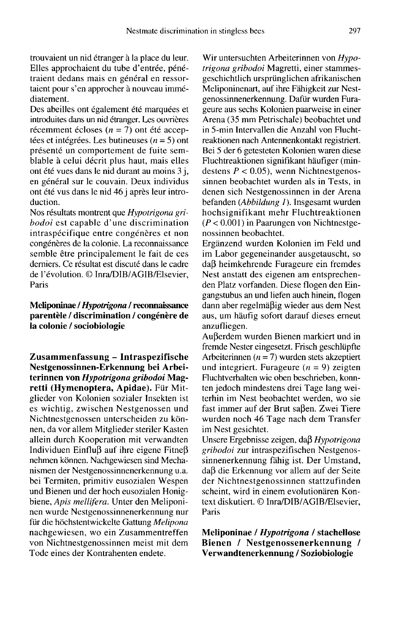trouvaient un nid étranger à la place du leur. Elles approchaient du tube d'entrée, pénétraient dedans mais en général en ressortaient pour s'en approcher à nouveau immédiatement.

Des abeilles ont également été marquées et introduites dans un nid étranger. Les ouvrières récemment écloses  $(n = 7)$  ont été acceptées et intégrées. Les butineuses ( $n = 5$ ) ont présenté un comportement de fuite semblable à celui décrit plus haut, mais elles ont été vues dans le nid durant au moins 3 j, en général sur le couvain. Deux individus ont été vus dans le nid 46 j après leur introduction.

Nos résultats montrent que Hypotrigona gribodoi est capable d'une discrimination intraspécifique entre congénères et non congénères de la colonie. La reconnaissance semble être principalement le fait de ces derniers. Ce résultat est discuté dans le cadre de l'évolution. © Inra/DIB/AGIB/Elsevier, Paris

## Meliponinae / Hypotrigona / reconnaissance parentèle / discrimination / congénère de la colonie / sociobiologie

Zusammenfassung - Intraspezifische Nestgenossinnen-Erkennung bei Arbeiterinnen von Hypotrigona gribodoi Magretti (Hymenoptera, Apidae). Für Mitglieder von Kolonien sozialer Insekten ist es wichtig, zwischen Nestgenossen und Nichtnestgenossen unterscheiden zu können, da vor allem Mitglieder steriler Kasten allein durch Kooperation mit verwandten Individuen Einfluß auf ihre eigene Fitneß nehmen können. Nachgewiesen sind Mechanismen der Nestgenossinnenerkennung u.a. bei Termiten, primitiv eusozialen Wespen und Bienen und der hoch eusozialen Honigbiene, Apis mellifera. Unter den Meliponi nen wurde Nestgenossinnenerkennung nur für die höchstentwickelte Gattung Melipona nachgewiesen, wo ein Zusammentreffen von Nichtnestgenossinnen meist mit dem Tode eines der Kontrahenten endete.

Wir untersuchten Arbeiterinnen von Hypotrigona gribodoi Magretti, einer stammesgeschichtlich ursprünglichen afrikanischen Meliponinenart, auf ihre Fähigkeit zur Nestgenossinnenerkennung. Dafür wurden Furageure aus sechs Kolonien paarweise in einer Arena (35 mm Petrischale) beobachtet und in 5-min Intervallen die Anzahl von Fluchtreaktionen nach Antennenkontakt registriert. Bei 5 der 6 getesteten Kolonien waren diese Fluchtreaktionen signifikant häufiger (mindestens  $P < 0.05$ ), wenn Nichtnestgenossinnen beobachtet wurden als in Tests, in denen sich Nestgenossinnen in der Arena befanden (Abbildung I). Insgesamt wurden hochsignifikant mehr Fluchtreaktionen  $(P < 0.001)$  in Paarungen von Nichtnestgenossinnen beobachtet.

Ergänzend wurden Kolonien im Feld und im Labor gegeneinander ausgetauscht, so daß heimkehrende Furageure ein fremdes Nest anstatt des eigenen am entsprechenden Platz vorfanden. Diese flogen den Eingangstubus an und liefen auch hinein, flogen dann aber regelmäßig wieder aus dem Nest aus, um häufig sofort darauf dieses erneut anzufliegen.

Außerdem wurden Bienen markiert und in fremde Nester eingesetzt. Frisch geschlüpfte Arbeiterinnen ( $n = 7$ ) wurden stets akzeptiert und integriert. Furageure  $(n = 9)$  zeigten Fluchtverhalten wie oben beschrieben, konnten jedoch mindestens drei Tage lang weiterhin im Nest beobachtet werden, wo sie fast immer auf der Brut saßen. Zwei Tiere wurden noch 46 Tage nach dem Transfer im Nest gesichtet.

Unsere Ergebnisse zeigen, daß Hypotrigona gribodoi zur intraspezifischen Nestgenossinnenerkennung fähig ist. Der Umstand, daß die Erkennung vor allem auf der Seite der Nichtnestgenossinnen stattzufinden scheint, wird in einem evolutionären Kontext diskutiert. © Inra/DIB/AGIB/Elsevier, Paris

Meliponinae / Hypotrigona / stachellose Bienen / Nestgenossenerkennung / Verwandtenerkennung / Soziobiologie